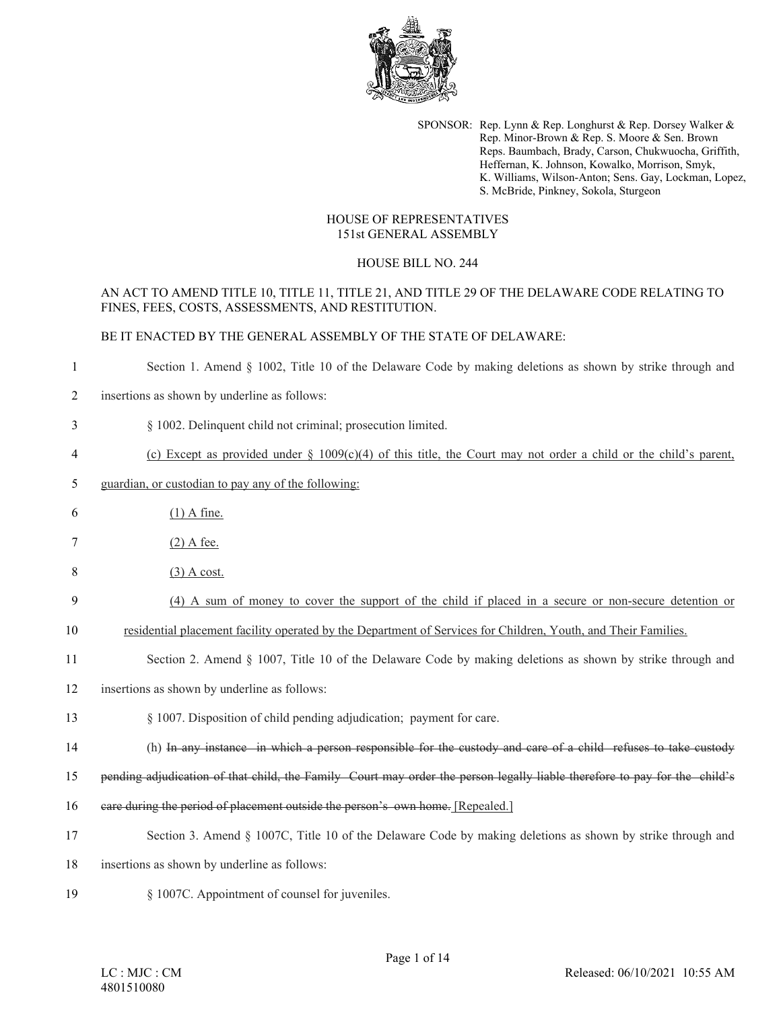

SPONSOR: Rep. Lynn & Rep. Longhurst & Rep. Dorsey Walker & Rep. Minor-Brown & Rep. S. Moore & Sen. Brown Reps. Baumbach, Brady, Carson, Chukwuocha, Griffith, Heffernan, K. Johnson, Kowalko, Morrison, Smyk, K. Williams, Wilson-Anton; Sens. Gay, Lockman, Lopez, S. McBride, Pinkney, Sokola, Sturgeon

#### HOUSE OF REPRESENTATIVES 151st GENERAL ASSEMBLY

## HOUSE BILL NO. 244

### AN ACT TO AMEND TITLE 10, TITLE 11, TITLE 21, AND TITLE 29 OF THE DELAWARE CODE RELATING TO FINES, FEES, COSTS, ASSESSMENTS, AND RESTITUTION.

### BE IT ENACTED BY THE GENERAL ASSEMBLY OF THE STATE OF DELAWARE:

- 1 Section 1. Amend § 1002, Title 10 of the Delaware Code by making deletions as shown by strike through and
- 2 insertions as shown by underline as follows:
- 3 § 1002. Delinquent child not criminal; prosecution limited.
- 4 (c) Except as provided under  $\S$  1009(c)(4) of this title, the Court may not order a child or the child's parent,
- 5 guardian, or custodian to pay any of the following:
- 6 (1) A fine.
- $7$  (2) A fee.
- 8 (3) A cost.
- 9 (4) A sum of money to cover the support of the child if placed in a secure or non-secure detention or
- 10 residential placement facility operated by the Department of Services for Children, Youth, and Their Families.
- 11 Section 2. Amend § 1007, Title 10 of the Delaware Code by making deletions as shown by strike through and
- 12 insertions as shown by underline as follows:
- 13 § 1007. Disposition of child pending adjudication; payment for care.
- 14 (h) In any instance in which a person responsible for the custody and care of a child refuses to take custody

15 pending adjudication of that child, the Family Court may order the person legally liable therefore to pay for the child's

- 16 eare during the period of placement outside the person's own home. [Repealed.]
- 17 Section 3. Amend § 1007C, Title 10 of the Delaware Code by making deletions as shown by strike through and
- 18 insertions as shown by underline as follows:
- 19 § 1007C. Appointment of counsel for juveniles.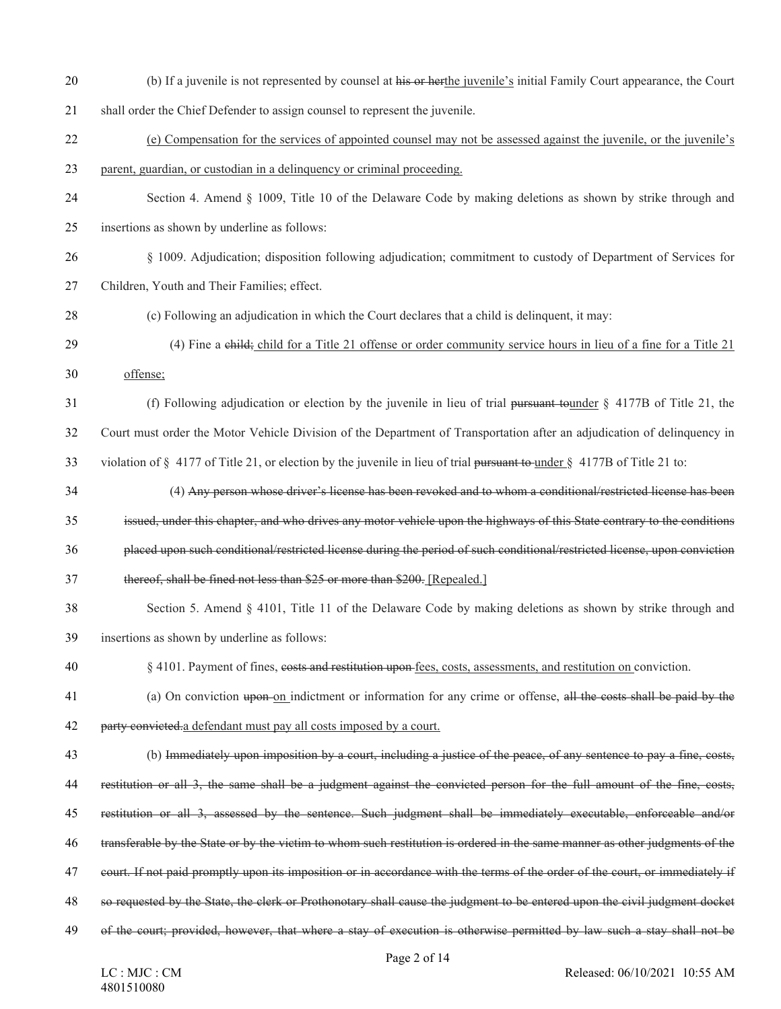- (b) If a juvenile is not represented by counsel at his or herthe juvenile's initial Family Court appearance, the Court shall order the Chief Defender to assign counsel to represent the juvenile.
- (e) Compensation for the services of appointed counsel may not be assessed against the juvenile, or the juvenile's
- parent, guardian, or custodian in a delinquency or criminal proceeding.
- Section 4. Amend § 1009, Title 10 of the Delaware Code by making deletions as shown by strike through and insertions as shown by underline as follows:
- § 1009. Adjudication; disposition following adjudication; commitment to custody of Department of Services for
- Children, Youth and Their Families; effect.
- (c) Following an adjudication in which the Court declares that a child is delinquent, it may:
- (4) Fine a child; child for a Title 21 offense or order community service hours in lieu of a fine for a Title 21 offense;
- (f) Following adjudication or election by the juvenile in lieu of trial pursuant tounder § 4177B of Title 21, the Court must order the Motor Vehicle Division of the Department of Transportation after an adjudication of delinquency in
- 33 violation of § 4177 of Title 21, or election by the juvenile in lieu of trial pursuant to under § 4177B of Title 21 to:
- (4) Any person whose driver's license has been revoked and to whom a conditional/restricted license has been issued, under this chapter, and who drives any motor vehicle upon the highways of this State contrary to the conditions
- placed upon such conditional/restricted license during the period of such conditional/restricted license, upon conviction
- 37 thereof, shall be fined not less than \$25 or more than \$200. [Repealed.]
- Section 5. Amend § 4101, Title 11 of the Delaware Code by making deletions as shown by strike through and insertions as shown by underline as follows:
- § 4101. Payment of fines, costs and restitution upon fees, costs, assessments, and restitution on conviction.
- (a) On conviction upon on indictment or information for any crime or offense, all the costs shall be paid by the
- party convicted.a defendant must pay all costs imposed by a court.
- (b) Immediately upon imposition by a court, including a justice of the peace, of any sentence to pay a fine, costs, restitution or all 3, the same shall be a judgment against the convicted person for the full amount of the fine, costs, restitution or all 3, assessed by the sentence. Such judgment shall be immediately executable, enforceable and/or transferable by the State or by the victim to whom such restitution is ordered in the same manner as other judgments of the court. If not paid promptly upon its imposition or in accordance with the terms of the order of the court, or immediately if so requested by the State, the clerk or Prothonotary shall cause the judgment to be entered upon the civil judgment docket 49 of the court; provided, however, that where a stay of execution is otherwise permitted by law such a stay shall not be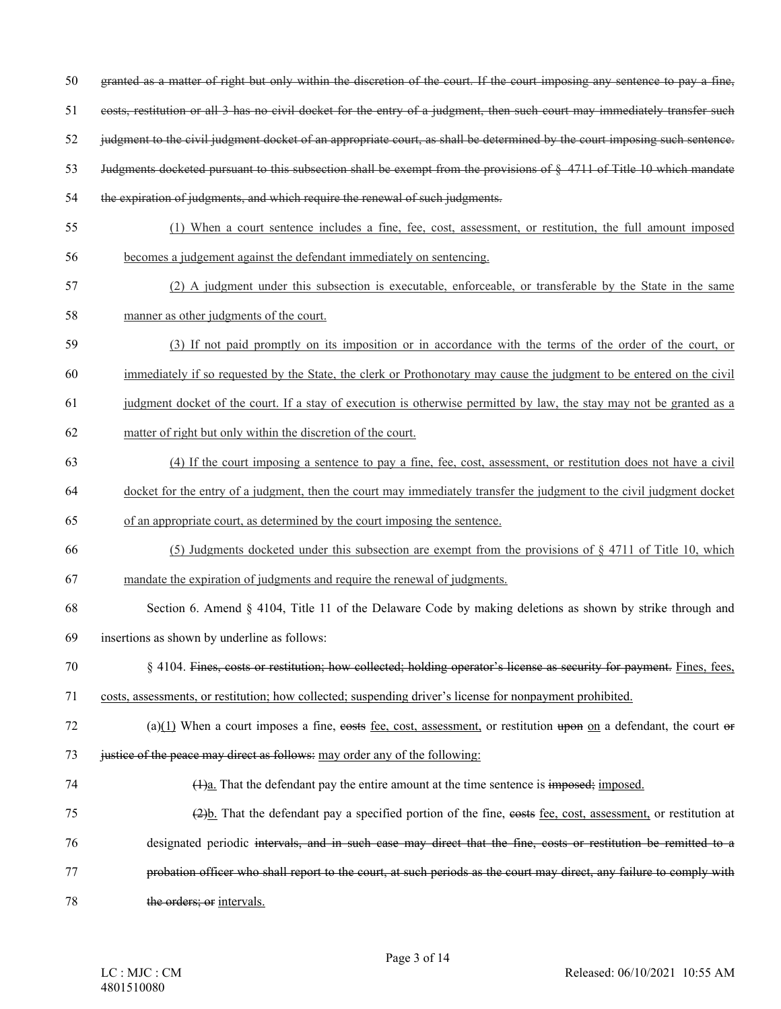- 50 granted as a matter of right but only within the discretion of the court. If the court imposing any sentence to pay a fine,
- 51 costs, restitution or all 3 has no civil docket for the entry of a judgment, then such court may immediately transfer such
- 52 judgment to the civil judgment docket of an appropriate court, as shall be determined by the court imposing such sentence.
- 53 Judgments docketed pursuant to this subsection shall be exempt from the provisions of § 4711 of Title 10 which mandate
- 54 the expiration of judgments, and which require the renewal of such judgments.
- 55 (1) When a court sentence includes a fine, fee, cost, assessment, or restitution, the full amount imposed
- 56 becomes a judgement against the defendant immediately on sentencing.
- 57 (2) A judgment under this subsection is executable, enforceable, or transferable by the State in the same 58 manner as other judgments of the court.
- 59 (3) If not paid promptly on its imposition or in accordance with the terms of the order of the court, or
- 60 immediately if so requested by the State, the clerk or Prothonotary may cause the judgment to be entered on the civil
- 61 judgment docket of the court. If a stay of execution is otherwise permitted by law, the stay may not be granted as a
- 62 matter of right but only within the discretion of the court.
- 63 (4) If the court imposing a sentence to pay a fine, fee, cost, assessment, or restitution does not have a civil 64 docket for the entry of a judgment, then the court may immediately transfer the judgment to the civil judgment docket
- 65 of an appropriate court, as determined by the court imposing the sentence.
- 66 (5) Judgments docketed under this subsection are exempt from the provisions of  $\S$  4711 of Title 10, which
- 67 mandate the expiration of judgments and require the renewal of judgments.
- 68 Section 6. Amend § 4104, Title 11 of the Delaware Code by making deletions as shown by strike through and
- 69 insertions as shown by underline as follows:
- 70 § 4104. Fines, costs or restitution; how collected; holding operator's license as security for payment. Fines, fees, 71 costs, assessments, or restitution; how collected; suspending driver's license for nonpayment prohibited.
- 72 (a)(1) When a court imposes a fine, costs fee, cost, assessment, or restitution upon on a defendant, the court or
- 73 justice of the peace may direct as follows: may order any of the following:
- 74 (1)a. That the defendant pay the entire amount at the time sentence is imposed; imposed.
- $(2)$ b. That the defendant pay a specified portion of the fine, essets fee, cost, assessment, or restitution at
- 76 designated periodic intervals, and in such case may direct that the fine, costs or restitution be remitted to a
- 77 probation officer who shall report to the court, at such periods as the court may direct, any failure to comply with
- 78 the orders; or intervals.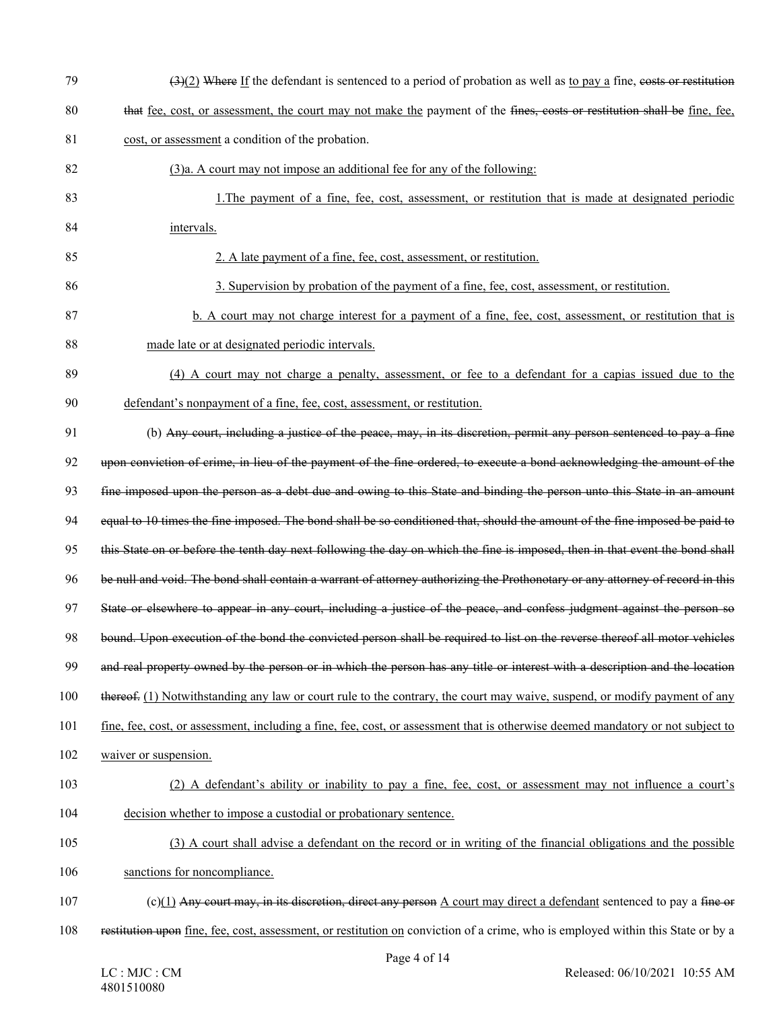| 79  | $(3)(2)$ Where If the defendant is sentenced to a period of probation as well as to pay a fine, costs or restitution             |
|-----|----------------------------------------------------------------------------------------------------------------------------------|
| 80  | that fee, cost, or assessment, the court may not make the payment of the fines, costs or restitution shall be fine, fee,         |
| 81  | cost, or assessment a condition of the probation.                                                                                |
| 82  | (3)a. A court may not impose an additional fee for any of the following:                                                         |
| 83  | 1. The payment of a fine, fee, cost, assessment, or restitution that is made at designated periodic                              |
| 84  | intervals.                                                                                                                       |
| 85  | 2. A late payment of a fine, fee, cost, assessment, or restitution.                                                              |
| 86  | 3. Supervision by probation of the payment of a fine, fee, cost, assessment, or restitution.                                     |
| 87  | b. A court may not charge interest for a payment of a fine, fee, cost, assessment, or restitution that is                        |
| 88  | made late or at designated periodic intervals.                                                                                   |
| 89  | (4) A court may not charge a penalty, assessment, or fee to a defendant for a capias issued due to the                           |
| 90  | defendant's nonpayment of a fine, fee, cost, assessment, or restitution.                                                         |
| 91  | (b) Any court, including a justice of the peace, may, in its discretion, permit any person sentenced to pay a fine               |
| 92  | upon conviction of crime, in lieu of the payment of the fine ordered, to execute a bond acknowledging the amount of the          |
| 93  | fine imposed upon the person as a debt due and owing to this State and binding the person unto this State in an amount           |
| 94  | equal to 10 times the fine imposed. The bond shall be so conditioned that, should the amount of the fine imposed be paid to      |
| 95  | this State on or before the tenth day next following the day on which the fine is imposed, then in that event the bond shall     |
| 96  | be null and void. The bond shall contain a warrant of attorney authorizing the Prothonotary or any attorney of record in this    |
| 97  | State or elsewhere to appear in any court, including a justice of the peace, and confess judgment against the person so          |
| 98  | bound. Upon execution of the bond the convicted person shall be required to list on the reverse thereof all motor vehicles       |
| 99  | and real property owned by the person or in which the person has any title or interest with a description and the location       |
| 100 | thereof. (1) Notwithstanding any law or court rule to the contrary, the court may waive, suspend, or modify payment of any       |
| 101 | fine, fee, cost, or assessment, including a fine, fee, cost, or assessment that is otherwise deemed mandatory or not subject to  |
| 102 | waiver or suspension.                                                                                                            |
| 103 | (2) A defendant's ability or inability to pay a fine, fee, cost, or assessment may not influence a court's                       |
| 104 | decision whether to impose a custodial or probationary sentence.                                                                 |
| 105 | (3) A court shall advise a defendant on the record or in writing of the financial obligations and the possible                   |
| 106 | sanctions for noncompliance.                                                                                                     |
| 107 | $(c)(1)$ Any court may, in its discretion, direct any person A court may direct a defendant sentenced to pay a fine or           |
| 108 | restitution upon fine, fee, cost, assessment, or restitution on conviction of a crime, who is employed within this State or by a |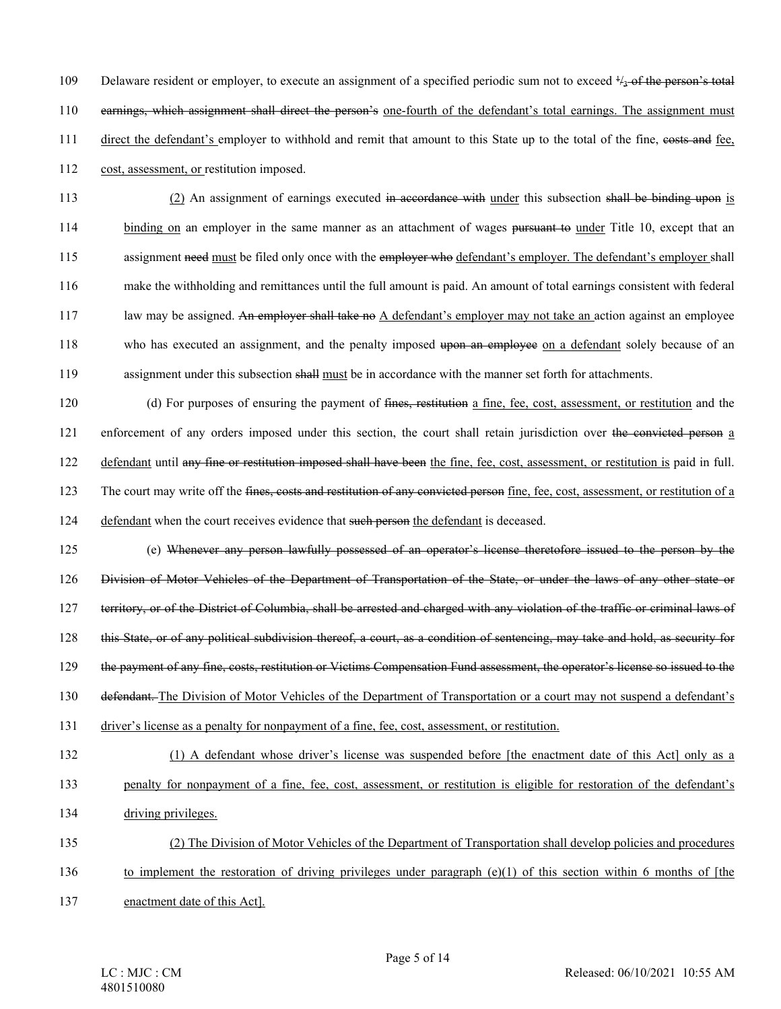109 Delaware resident or employer, to execute an assignment of a specified periodic sum not to exceed  $\frac{1}{3}$ -of the person's total 110 earnings, which assignment shall direct the person's one-fourth of the defendant's total earnings. The assignment must 111 direct the defendant's employer to withhold and remit that amount to this State up to the total of the fine, costs and fee, 112 cost, assessment, or restitution imposed.

113 (2) An assignment of earnings executed in accordance with under this subsection shall be binding upon is 114 binding on an employer in the same manner as an attachment of wages pursuant to under Title 10, except that an 115 assignment need must be filed only once with the employer who defendant's employer. The defendant's employer shall 116 make the withholding and remittances until the full amount is paid. An amount of total earnings consistent with federal 117 law may be assigned. An employer shall take no A defendant's employer may not take an action against an employee 118 who has executed an assignment, and the penalty imposed upon an employee on a defendant solely because of an 119 assignment under this subsection shall must be in accordance with the manner set forth for attachments.

120 (d) For purposes of ensuring the payment of fines, restitution a fine, fee, cost, assessment, or restitution and the 121 enforcement of any orders imposed under this section, the court shall retain jurisdiction over the convicted person a 122 defendant until any fine or restitution imposed shall have been the fine, fee, cost, assessment, or restitution is paid in full. 123 The court may write off the <del>fines, costs and restitution of any convicted person</del> fine, fee, cost, assessment, or restitution of a 124 defendant when the court receives evidence that such person the defendant is deceased.

125 (e) Whenever any person lawfully possessed of an operator's license theretofore issued to the person by the 126 Division of Motor Vehicles of the Department of Transportation of the State, or under the laws of any other state or 127 territory, or of the District of Columbia, shall be arrested and charged with any violation of the traffic or criminal laws of 128 this State, or of any political subdivision thereof, a court, as a condition of sentencing, may take and hold, as security for 129 the payment of any fine, costs, restitution or Victims Compensation Fund assessment, the operator's license so issued to the 130 defendant. The Division of Motor Vehicles of the Department of Transportation or a court may not suspend a defendant's 131 driver's license as a penalty for nonpayment of a fine, fee, cost, assessment, or restitution.

- 132 (1) A defendant whose driver's license was suspended before [the enactment date of this Act] only as a 133 penalty for nonpayment of a fine, fee, cost, assessment, or restitution is eligible for restoration of the defendant's 134 driving privileges.
- 135 (2) The Division of Motor Vehicles of the Department of Transportation shall develop policies and procedures 136 to implement the restoration of driving privileges under paragraph (e)(1) of this section within 6 months of [the
- 137 enactment date of this Act].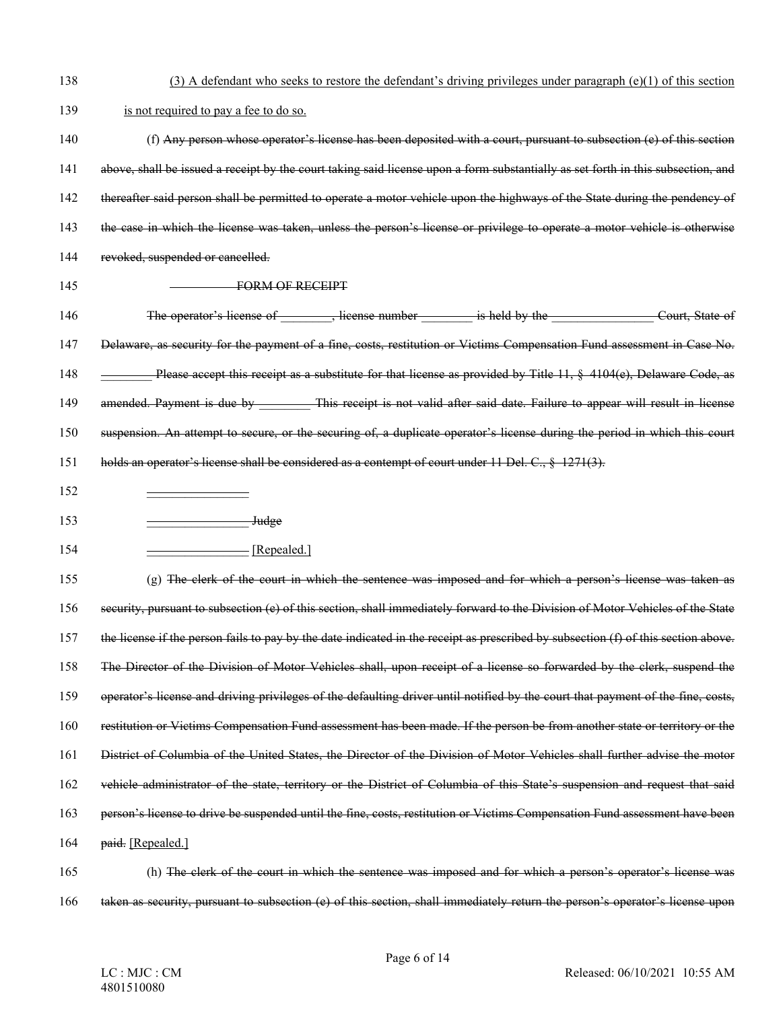| 138 | (3) A defendant who seeks to restore the defendant's driving privileges under paragraph (e)(1) of this section                     |
|-----|------------------------------------------------------------------------------------------------------------------------------------|
| 139 | is not required to pay a fee to do so.                                                                                             |
| 140 | (f) Any person whose operator's license has been deposited with a court, pursuant to subsection (e) of this section                |
| 141 | above, shall be issued a receipt by the court taking said license upon a form substantially as set forth in this subsection, and   |
| 142 | thereafter said person shall be permitted to operate a motor vehicle upon the highways of the State during the pendency of         |
| 143 | the case in which the license was taken, unless the person's license or privilege to operate a motor vehicle is otherwise          |
| 144 | revoked, suspended or cancelled.                                                                                                   |
| 145 | FORM OF RECEIPT                                                                                                                    |
| 146 | The operator's license of ________, license number _________ is held by the ________________________<br>Court, State of            |
| 147 | Delaware, as security for the payment of a fine, costs, restitution or Victims Compensation Fund assessment in Case No.            |
| 148 | Please accept this receipt as a substitute for that license as provided by Title 11, § 4104(e), Delaware Code, as                  |
| 149 | amended. Payment is due by _________ This receipt is not valid after said date. Failure to appear will result in license           |
| 150 | suspension. An attempt to secure, or the securing of, a duplicate operator's license during the period in which this court         |
| 151 | holds an operator's license shall be considered as a contempt of court under 11 Del. C., $\S$ 1271(3).                             |
|     |                                                                                                                                    |
| 152 |                                                                                                                                    |
| 153 | <b>Example 2</b> Judge                                                                                                             |
| 154 | <b>Example 1</b> [Repealed.]                                                                                                       |
| 155 | (g) The clerk of the court in which the sentence was imposed and for which a person's license was taken as                         |
| 156 | security, pursuant to subsection (e) of this section, shall immediately forward to the Division of Motor Vehicles of the State     |
| 157 | the license if the person fails to pay by the date indicated in the receipt as prescribed by subsection (f) of this section above. |
| 158 | The Director of the Division of Motor Vehicles shall, upon receipt of a license so forwarded by the clerk, suspend the             |
| 159 | operator's license and driving privileges of the defaulting driver until notified by the court that payment of the fine, costs,    |
| 160 | restitution or Victims Compensation Fund assessment has been made. If the person be from another state or territory or the         |
| 161 | District of Columbia of the United States, the Director of the Division of Motor Vehicles shall further advise the motor           |
| 162 | vehicle administrator of the state, territory or the District of Columbia of this State's suspension and request that said         |
| 163 | person's license to drive be suspended until the fine, costs, restitution or Victims Compensation Fund assessment have been        |
| 164 | paid. [Repealed.]                                                                                                                  |

166 taken as security, pursuant to subsection (e) of this section, shall immediately return the person's operator's license upon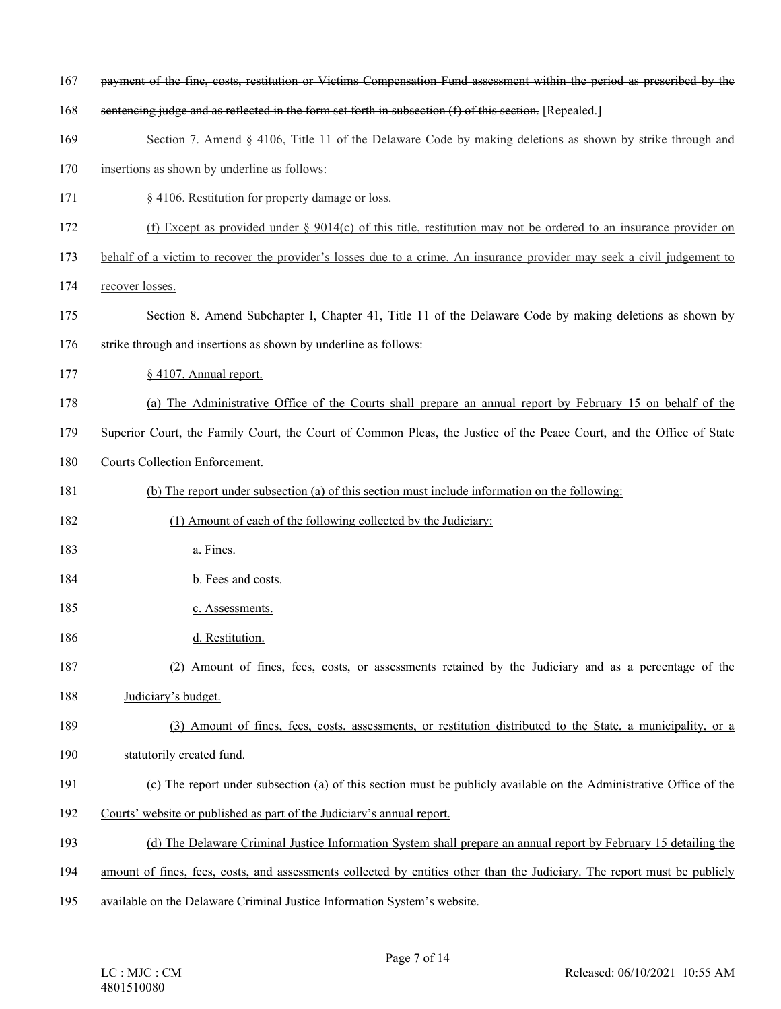| 167 | payment of the fine, costs, restitution or Victims Compensation Fund assessment within the period as prescribed by the    |
|-----|---------------------------------------------------------------------------------------------------------------------------|
| 168 | sentencing judge and as reflected in the form set forth in subsection (f) of this section. [Repealed.]                    |
| 169 | Section 7. Amend § 4106, Title 11 of the Delaware Code by making deletions as shown by strike through and                 |
| 170 | insertions as shown by underline as follows:                                                                              |
| 171 | § 4106. Restitution for property damage or loss.                                                                          |
| 172 | (f) Except as provided under $\S 9014(c)$ of this title, restitution may not be ordered to an insurance provider on       |
| 173 | behalf of a victim to recover the provider's losses due to a crime. An insurance provider may seek a civil judgement to   |
| 174 | recover losses.                                                                                                           |
| 175 | Section 8. Amend Subchapter I, Chapter 41, Title 11 of the Delaware Code by making deletions as shown by                  |
| 176 | strike through and insertions as shown by underline as follows:                                                           |
| 177 | § 4107. Annual report.                                                                                                    |
| 178 | (a) The Administrative Office of the Courts shall prepare an annual report by February 15 on behalf of the                |
| 179 | Superior Court, the Family Court, the Court of Common Pleas, the Justice of the Peace Court, and the Office of State      |
| 180 | Courts Collection Enforcement.                                                                                            |
| 181 | (b) The report under subsection (a) of this section must include information on the following:                            |
| 182 | (1) Amount of each of the following collected by the Judiciary:                                                           |
| 183 | a. Fines.                                                                                                                 |
| 184 | b. Fees and costs.                                                                                                        |
| 185 | c. Assessments.                                                                                                           |
| 186 | d. Restitution.                                                                                                           |
| 187 | (2) Amount of fines, fees, costs, or assessments retained by the Judiciary and as a percentage of the                     |
| 188 | Judiciary's budget.                                                                                                       |
| 189 | (3) Amount of fines, fees, costs, assessments, or restitution distributed to the State, a municipality, or a              |
| 190 | statutorily created fund.                                                                                                 |
| 191 | (c) The report under subsection (a) of this section must be publicly available on the Administrative Office of the        |
| 192 | Courts' website or published as part of the Judiciary's annual report.                                                    |
| 193 | (d) The Delaware Criminal Justice Information System shall prepare an annual report by February 15 detailing the          |
| 194 | amount of fines, fees, costs, and assessments collected by entities other than the Judiciary. The report must be publicly |
| 195 | available on the Delaware Criminal Justice Information System's website.                                                  |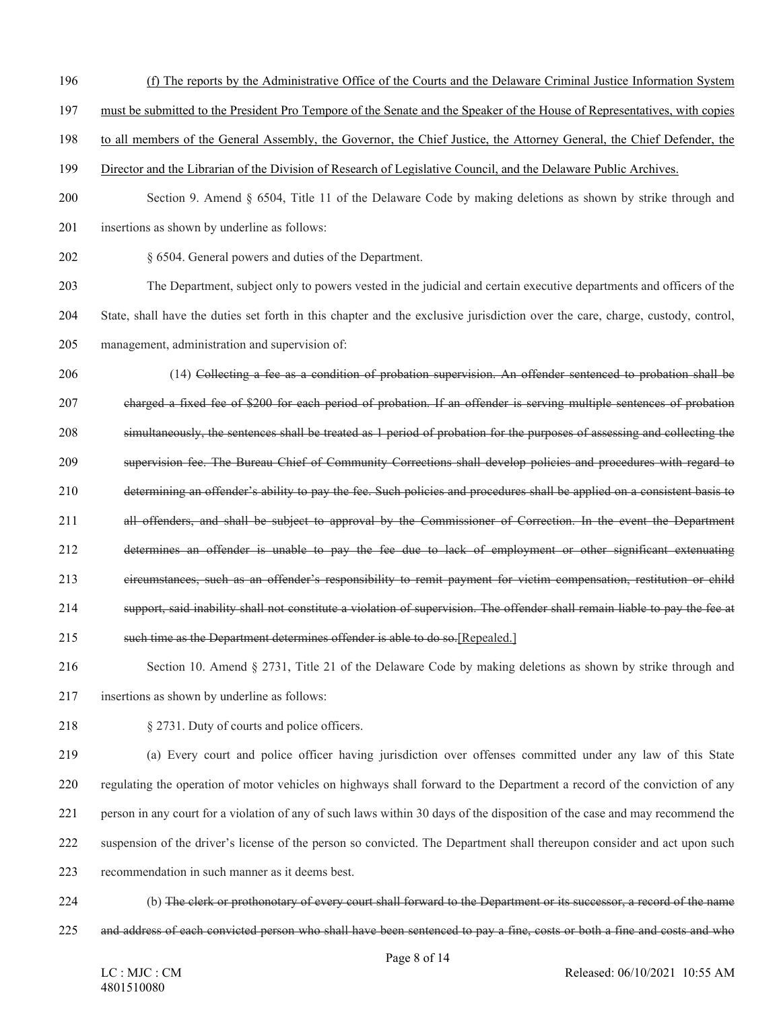- 196 (f) The reports by the Administrative Office of the Courts and the Delaware Criminal Justice Information System
- 197 must be submitted to the President Pro Tempore of the Senate and the Speaker of the House of Representatives, with copies

198 to all members of the General Assembly, the Governor, the Chief Justice, the Attorney General, the Chief Defender, the

- 199 Director and the Librarian of the Division of Research of Legislative Council, and the Delaware Public Archives.
- Section 9. Amend § 6504, Title 11 of the Delaware Code by making deletions as shown by strike through and 201 insertions as shown by underline as follows:
- § 6504. General powers and duties of the Department.

 The Department, subject only to powers vested in the judicial and certain executive departments and officers of the State, shall have the duties set forth in this chapter and the exclusive jurisdiction over the care, charge, custody, control, management, administration and supervision of:

- (14) Collecting a fee as a condition of probation supervision. An offender sentenced to probation shall be charged a fixed fee of \$200 for each period of probation. If an offender is serving multiple sentences of probation simultaneously, the sentences shall be treated as 1 period of probation for the purposes of assessing and collecting the supervision fee. The Bureau Chief of Community Corrections shall develop policies and procedures with regard to determining an offender's ability to pay the fee. Such policies and procedures shall be applied on a consistent basis to all offenders, and shall be subject to approval by the Commissioner of Correction. In the event the Department determines an offender is unable to pay the fee due to lack of employment or other significant extenuating circumstances, such as an offender's responsibility to remit payment for victim compensation, restitution or child support, said inability shall not constitute a violation of supervision. The offender shall remain liable to pay the fee at 215 such time as the Department determines offender is able to do so.[Repealed.]
- Section 10. Amend § 2731, Title 21 of the Delaware Code by making deletions as shown by strike through and insertions as shown by underline as follows:
- 218 § 2731. Duty of courts and police officers.

 (a) Every court and police officer having jurisdiction over offenses committed under any law of this State regulating the operation of motor vehicles on highways shall forward to the Department a record of the conviction of any person in any court for a violation of any of such laws within 30 days of the disposition of the case and may recommend the suspension of the driver's license of the person so convicted. The Department shall thereupon consider and act upon such recommendation in such manner as it deems best.

 (b) The clerk or prothonotary of every court shall forward to the Department or its successor, a record of the name and address of each convicted person who shall have been sentenced to pay a fine, costs or both a fine and costs and who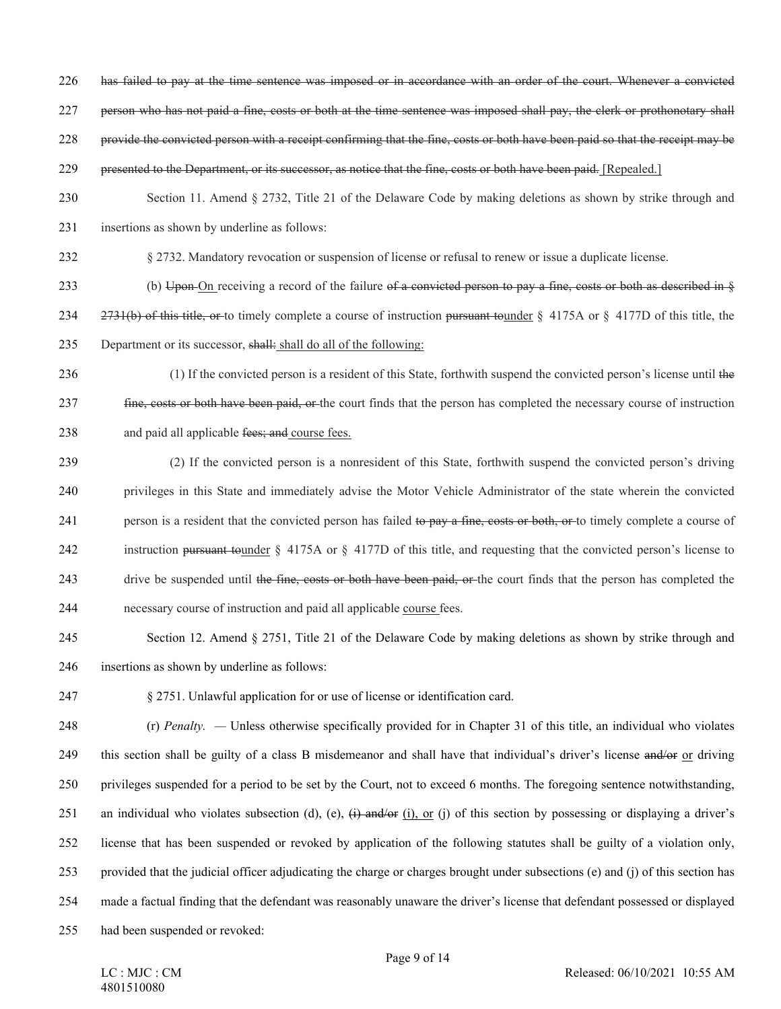- 226 has failed to pay at the time sentence was imposed or in accordance with an order of the court. Whenever a convicted
- 227 person who has not paid a fine, costs or both at the time sentence was imposed shall pay, the clerk or prothonotary shall
- 228 provide the convicted person with a receipt confirming that the fine, costs or both have been paid so that the receipt may be
- 229 presented to the Department, or its successor, as notice that the fine, costs or both have been paid. [Repealed.]
- 230 Section 11. Amend § 2732, Title 21 of the Delaware Code by making deletions as shown by strike through and 231 insertions as shown by underline as follows:
- 232 § 2732. Mandatory revocation or suspension of license or refusal to renew or issue a duplicate license.
- 233 (b) Upon On receiving a record of the failure of a convicted person to pay a fine, costs or both as described in §
- 234 2731(b) of this title, or to timely complete a course of instruction pursuant tounder § 4175A or § 4177D of this title, the
- 235 Department or its successor, shall: shall do all of the following:
- 236 (1) If the convicted person is a resident of this State, forthwith suspend the convicted person's license until the 237 fine, costs or both have been paid, or the court finds that the person has completed the necessary course of instruction
- 238 and paid all applicable fees; and course fees.
- 239 (2) If the convicted person is a nonresident of this State, forthwith suspend the convicted person's driving 240 privileges in this State and immediately advise the Motor Vehicle Administrator of the state wherein the convicted 241 person is a resident that the convicted person has failed to pay a fine, costs or both, or to timely complete a course of 242 instruction pursuant tounder § 4175A or § 4177D of this title, and requesting that the convicted person's license to 243 drive be suspended until the fine, costs or both have been paid, or the court finds that the person has completed the 244 necessary course of instruction and paid all applicable course fees.
- 245 Section 12. Amend § 2751, Title 21 of the Delaware Code by making deletions as shown by strike through and 246 insertions as shown by underline as follows:
- 247 § 2751. Unlawful application for or use of license or identification card.
- 248 (r) *Penalty. —* Unless otherwise specifically provided for in Chapter 31 of this title, an individual who violates 249 this section shall be guilty of a class B misdemeanor and shall have that individual's driver's license and/or or driving 250 privileges suspended for a period to be set by the Court, not to exceed 6 months. The foregoing sentence notwithstanding, 251 an individual who violates subsection (d), (e),  $\overline{(i)}$  and/or  $\overline{(i)}$ , or  $\overline{(i)}$  of this section by possessing or displaying a driver's 252 license that has been suspended or revoked by application of the following statutes shall be guilty of a violation only, 253 provided that the judicial officer adjudicating the charge or charges brought under subsections (e) and (j) of this section has 254 made a factual finding that the defendant was reasonably unaware the driver's license that defendant possessed or displayed 255 had been suspended or revoked: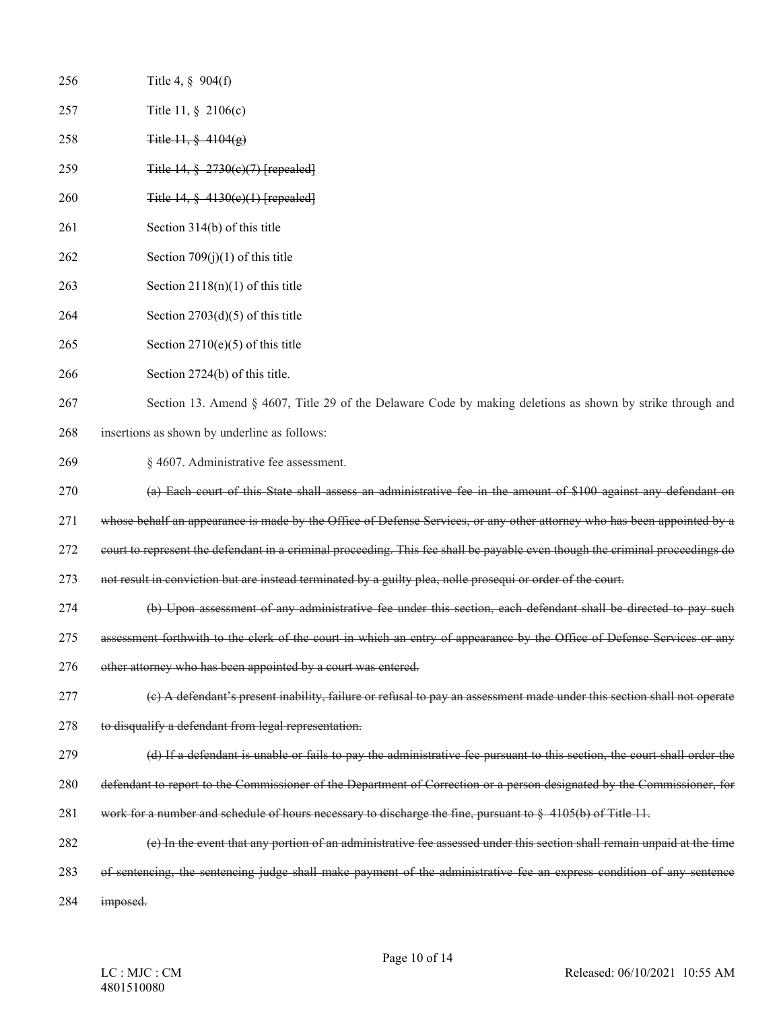| 256 | Title 4, $\S$ 904(f)                                                                                                         |
|-----|------------------------------------------------------------------------------------------------------------------------------|
| 257 | Title 11, § 2106(c)                                                                                                          |
| 258 | Title $11, §$ 4104(g)                                                                                                        |
| 259 | Title $14, \frac{8}{9}$ 2730(e)(7) [repealed]                                                                                |
| 260 | Title $14, §$ $4130(e)(1)$ [repealed]                                                                                        |
| 261 | Section 314(b) of this title                                                                                                 |
| 262 | Section $709(j)(1)$ of this title                                                                                            |
| 263 | Section $2118(n)(1)$ of this title                                                                                           |
| 264 | Section $2703(d)(5)$ of this title                                                                                           |
| 265 | Section $2710(e)(5)$ of this title                                                                                           |
| 266 | Section 2724(b) of this title.                                                                                               |
| 267 | Section 13. Amend § 4607, Title 29 of the Delaware Code by making deletions as shown by strike through and                   |
| 268 | insertions as shown by underline as follows:                                                                                 |
| 269 | § 4607. Administrative fee assessment.                                                                                       |
| 270 | (a) Each court of this State shall assess an administrative fee in the amount of \$100 against any defendant on              |
| 271 | whose behalf an appearance is made by the Office of Defense Services, or any other attorney who has been appointed by a      |
| 272 | court to represent the defendant in a criminal proceeding. This fee shall be payable even though the criminal proceedings do |
| 273 | not result in conviction but are instead terminated by a guilty plea, nolle prosequi or order of the court.                  |
| 274 | (b) Upon assessment of any administrative fee under this section, each defendant shall be directed to pay such               |
| 275 | assessment forthwith to the clerk of the court in which an entry of appearance by the Office of Defense Services or any      |
| 276 | other attorney who has been appointed by a court was entered.                                                                |
| 277 | (e) A defendant's present inability, failure or refusal to pay an assessment made under this section shall not operate       |
| 278 | to disqualify a defendant from legal representation.                                                                         |
| 279 | (d) If a defendant is unable or fails to pay the administrative fee pursuant to this section, the court shall order the      |
| 280 | defendant to report to the Commissioner of the Department of Correction or a person designated by the Commissioner, for      |
| 281 | work for a number and schedule of hours necessary to discharge the fine, pursuant to $\S$ 4105(b) of Title 11.               |
| 282 | (e) In the event that any portion of an administrative fee assessed under this section shall remain unpaid at the time       |
| 283 | of sentencing, the sentencing judge shall make payment of the administrative fee an express condition of any sentence        |
| 284 | imposed.                                                                                                                     |
|     |                                                                                                                              |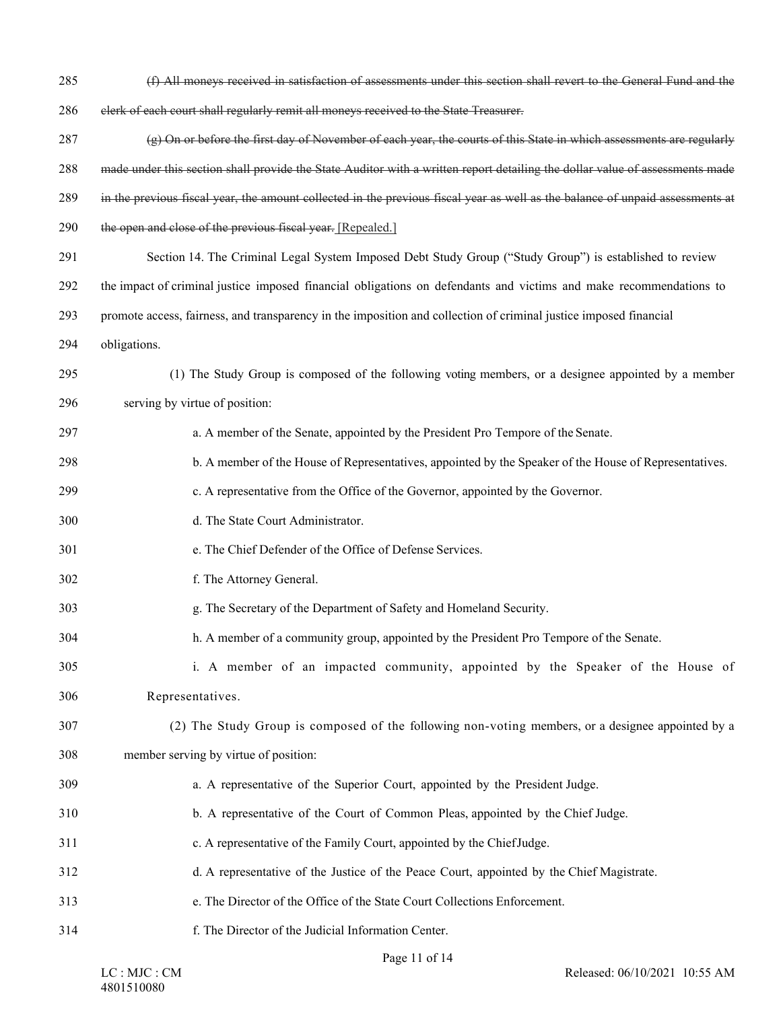| 285 | (f) All moneys received in satisfaction of assessments under this section shall revert to the General Fund and the            |
|-----|-------------------------------------------------------------------------------------------------------------------------------|
| 286 | elerk of each court shall regularly remit all moneys received to the State Treasurer.                                         |
| 287 | (g) On or before the first day of November of each year, the courts of this State in which assessments are regularly          |
| 288 | made under this section shall provide the State Auditor with a written report detailing the dollar value of assessments made  |
| 289 | in the previous fiscal year, the amount collected in the previous fiscal year as well as the balance of unpaid assessments at |
| 290 | the open and close of the previous fiscal year. [Repealed.]                                                                   |
| 291 | Section 14. The Criminal Legal System Imposed Debt Study Group ("Study Group") is established to review                       |
| 292 | the impact of criminal justice imposed financial obligations on defendants and victims and make recommendations to            |
| 293 | promote access, fairness, and transparency in the imposition and collection of criminal justice imposed financial             |
| 294 | obligations.                                                                                                                  |
| 295 | (1) The Study Group is composed of the following voting members, or a designee appointed by a member                          |
| 296 | serving by virtue of position:                                                                                                |
| 297 | a. A member of the Senate, appointed by the President Pro Tempore of the Senate.                                              |
| 298 | b. A member of the House of Representatives, appointed by the Speaker of the House of Representatives.                        |
| 299 | c. A representative from the Office of the Governor, appointed by the Governor.                                               |
| 300 | d. The State Court Administrator.                                                                                             |
| 301 | e. The Chief Defender of the Office of Defense Services.                                                                      |
| 302 | f. The Attorney General.                                                                                                      |
| 303 | g. The Secretary of the Department of Safety and Homeland Security.                                                           |
| 304 | h. A member of a community group, appointed by the President Pro Tempore of the Senate.                                       |
| 305 | i. A member of an impacted community, appointed by the Speaker of the House of                                                |
| 306 | Representatives.                                                                                                              |
| 307 | (2) The Study Group is composed of the following non-voting members, or a designee appointed by a                             |
| 308 | member serving by virtue of position:                                                                                         |
| 309 | a. A representative of the Superior Court, appointed by the President Judge.                                                  |
| 310 | b. A representative of the Court of Common Pleas, appointed by the Chief Judge.                                               |
| 311 | c. A representative of the Family Court, appointed by the Chief Judge.                                                        |
| 312 | d. A representative of the Justice of the Peace Court, appointed by the Chief Magistrate.                                     |
| 313 | e. The Director of the Office of the State Court Collections Enforcement.                                                     |
| 314 | f. The Director of the Judicial Information Center.                                                                           |
|     | Dao 11 of 14                                                                                                                  |

Page 11 of 14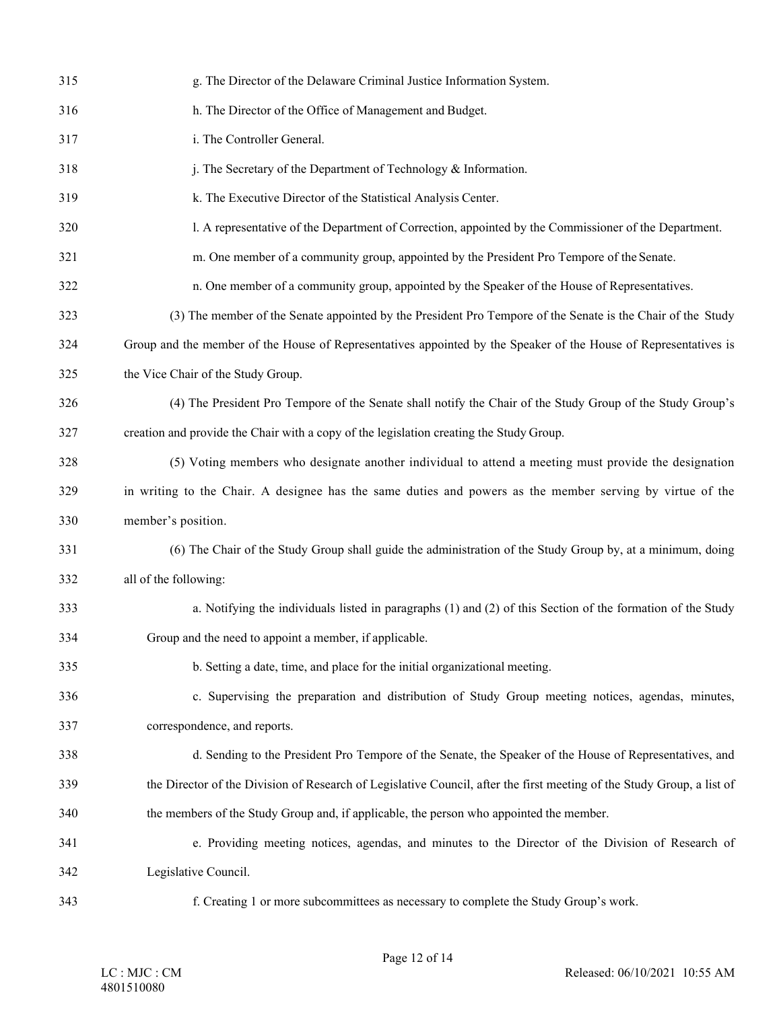| 315 | g. The Director of the Delaware Criminal Justice Information System.                                                   |
|-----|------------------------------------------------------------------------------------------------------------------------|
| 316 | h. The Director of the Office of Management and Budget.                                                                |
| 317 | i. The Controller General.                                                                                             |
| 318 | j. The Secretary of the Department of Technology & Information.                                                        |
| 319 | k. The Executive Director of the Statistical Analysis Center.                                                          |
| 320 | 1. A representative of the Department of Correction, appointed by the Commissioner of the Department.                  |
| 321 | m. One member of a community group, appointed by the President Pro Tempore of the Senate.                              |
| 322 | n. One member of a community group, appointed by the Speaker of the House of Representatives.                          |
| 323 | (3) The member of the Senate appointed by the President Pro Tempore of the Senate is the Chair of the Study            |
| 324 | Group and the member of the House of Representatives appointed by the Speaker of the House of Representatives is       |
| 325 | the Vice Chair of the Study Group.                                                                                     |
| 326 | (4) The President Pro Tempore of the Senate shall notify the Chair of the Study Group of the Study Group's             |
| 327 | creation and provide the Chair with a copy of the legislation creating the Study Group.                                |
| 328 | (5) Voting members who designate another individual to attend a meeting must provide the designation                   |
| 329 | in writing to the Chair. A designee has the same duties and powers as the member serving by virtue of the              |
| 330 | member's position.                                                                                                     |
| 331 | (6) The Chair of the Study Group shall guide the administration of the Study Group by, at a minimum, doing             |
| 332 | all of the following:                                                                                                  |
| 333 | a. Notifying the individuals listed in paragraphs (1) and (2) of this Section of the formation of the Study            |
| 334 | Group and the need to appoint a member, if applicable.                                                                 |
| 335 | b. Setting a date, time, and place for the initial organizational meeting.                                             |
| 336 | c. Supervising the preparation and distribution of Study Group meeting notices, agendas, minutes,                      |
| 337 | correspondence, and reports.                                                                                           |
| 338 | d. Sending to the President Pro Tempore of the Senate, the Speaker of the House of Representatives, and                |
| 339 | the Director of the Division of Research of Legislative Council, after the first meeting of the Study Group, a list of |
| 340 | the members of the Study Group and, if applicable, the person who appointed the member.                                |
| 341 | e. Providing meeting notices, agendas, and minutes to the Director of the Division of Research of                      |
| 342 | Legislative Council.                                                                                                   |
| 343 | f. Creating 1 or more subcommittees as necessary to complete the Study Group's work.                                   |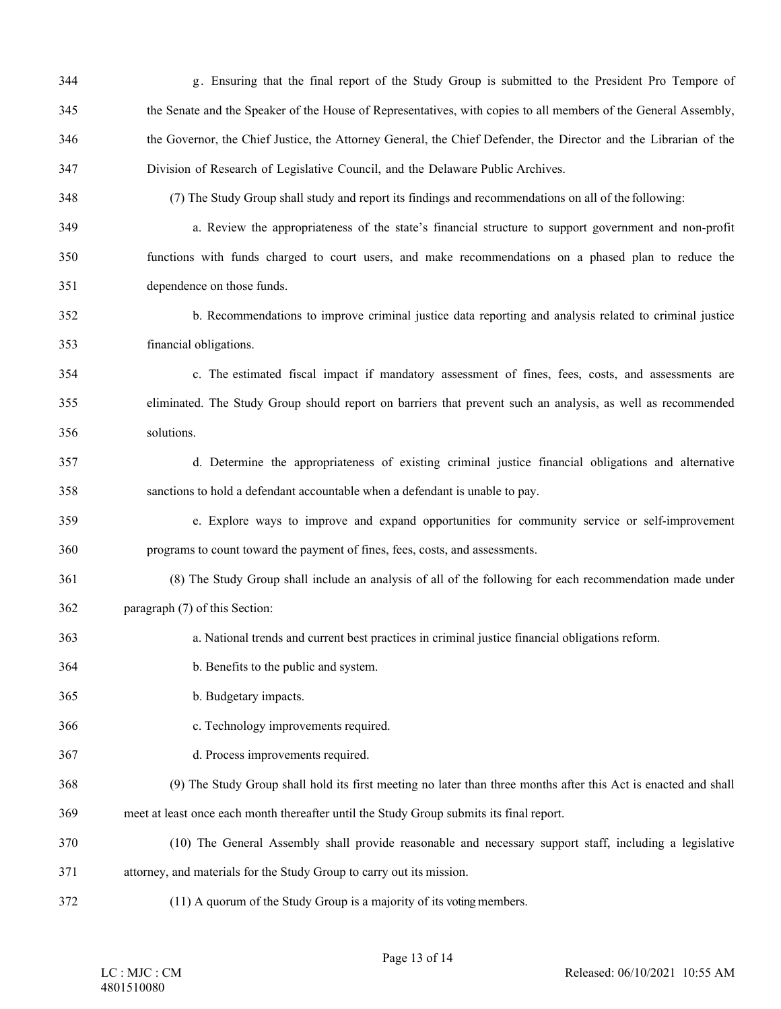| 344 | g. Ensuring that the final report of the Study Group is submitted to the President Pro Tempore of                |
|-----|------------------------------------------------------------------------------------------------------------------|
| 345 | the Senate and the Speaker of the House of Representatives, with copies to all members of the General Assembly,  |
| 346 | the Governor, the Chief Justice, the Attorney General, the Chief Defender, the Director and the Librarian of the |
| 347 | Division of Research of Legislative Council, and the Delaware Public Archives.                                   |
| 348 | (7) The Study Group shall study and report its findings and recommendations on all of the following:             |
| 349 | a. Review the appropriateness of the state's financial structure to support government and non-profit            |
| 350 | functions with funds charged to court users, and make recommendations on a phased plan to reduce the             |
| 351 | dependence on those funds.                                                                                       |
| 352 | b. Recommendations to improve criminal justice data reporting and analysis related to criminal justice           |
| 353 | financial obligations.                                                                                           |
| 354 | c. The estimated fiscal impact if mandatory assessment of fines, fees, costs, and assessments are                |
| 355 | eliminated. The Study Group should report on barriers that prevent such an analysis, as well as recommended      |
| 356 | solutions.                                                                                                       |
| 357 | d. Determine the appropriateness of existing criminal justice financial obligations and alternative              |
| 358 | sanctions to hold a defendant accountable when a defendant is unable to pay.                                     |
| 359 | e. Explore ways to improve and expand opportunities for community service or self-improvement                    |
| 360 | programs to count toward the payment of fines, fees, costs, and assessments.                                     |
| 361 | (8) The Study Group shall include an analysis of all of the following for each recommendation made under         |
| 362 | paragraph (7) of this Section:                                                                                   |
| 363 | a. National trends and current best practices in criminal justice financial obligations reform.                  |
| 364 | b. Benefits to the public and system.                                                                            |
| 365 | b. Budgetary impacts.                                                                                            |
| 366 | c. Technology improvements required.                                                                             |
| 367 | d. Process improvements required.                                                                                |
| 368 | (9) The Study Group shall hold its first meeting no later than three months after this Act is enacted and shall  |
| 369 | meet at least once each month thereafter until the Study Group submits its final report.                         |
| 370 | (10) The General Assembly shall provide reasonable and necessary support staff, including a legislative          |
| 371 | attorney, and materials for the Study Group to carry out its mission.                                            |
| 372 | (11) A quorum of the Study Group is a majority of its voting members.                                            |